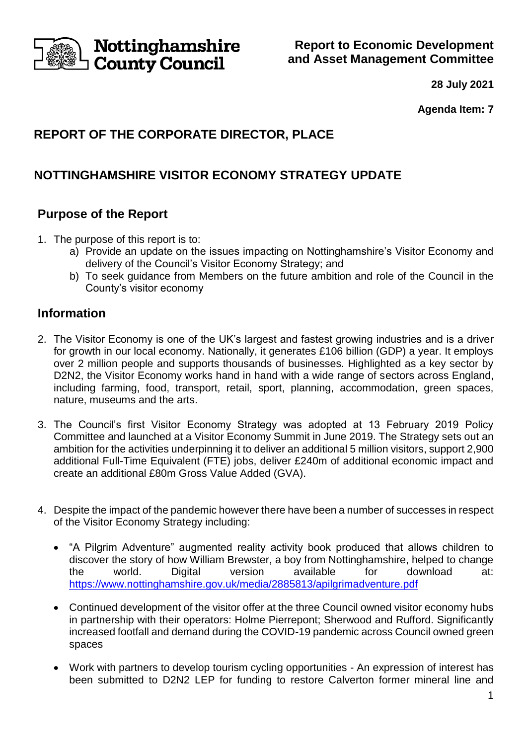

**Report to Economic Development and Asset Management Committee**

**28 July 2021**

**Agenda Item: 7**

# **REPORT OF THE CORPORATE DIRECTOR, PLACE**

# **NOTTINGHAMSHIRE VISITOR ECONOMY STRATEGY UPDATE**

### **Purpose of the Report**

- 1. The purpose of this report is to:
	- a) Provide an update on the issues impacting on Nottinghamshire's Visitor Economy and delivery of the Council's Visitor Economy Strategy; and
	- b) To seek guidance from Members on the future ambition and role of the Council in the County's visitor economy

### **Information**

- 2. The Visitor Economy is one of the UK's largest and fastest growing industries and is a driver for growth in our local economy. Nationally, it generates £106 billion (GDP) a year. It employs over 2 million people and supports thousands of businesses. Highlighted as a key sector by D2N2, the Visitor Economy works hand in hand with a wide range of sectors across England, including farming, food, transport, retail, sport, planning, accommodation, green spaces, nature, museums and the arts.
- 3. The Council's first Visitor Economy Strategy was adopted at 13 February 2019 Policy Committee and launched at a Visitor Economy Summit in June 2019. The Strategy sets out an ambition for the activities underpinning it to deliver an additional 5 million visitors, support 2,900 additional Full-Time Equivalent (FTE) jobs, deliver £240m of additional economic impact and create an additional £80m Gross Value Added (GVA).
- 4. Despite the impact of the pandemic however there have been a number of successes in respect of the Visitor Economy Strategy including:
	- "A Pilgrim Adventure" augmented reality activity book produced that allows children to discover the story of how William Brewster, a boy from Nottinghamshire, helped to change the world. Digital version available for download at: <https://www.nottinghamshire.gov.uk/media/2885813/apilgrimadventure.pdf>
	- Continued development of the visitor offer at the three Council owned visitor economy hubs in partnership with their operators: Holme Pierrepont; Sherwood and Rufford. Significantly increased footfall and demand during the COVID-19 pandemic across Council owned green spaces
	- Work with partners to develop tourism cycling opportunities An expression of interest has been submitted to D2N2 LEP for funding to restore Calverton former mineral line and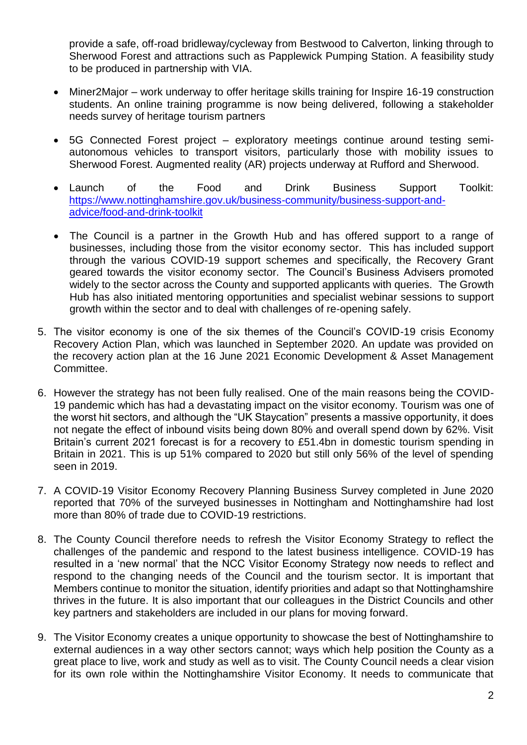provide a safe, off-road bridleway/cycleway from Bestwood to Calverton, linking through to Sherwood Forest and attractions such as Papplewick Pumping Station. A feasibility study to be produced in partnership with VIA.

- Miner2Major work underway to offer heritage skills training for Inspire 16-19 construction students. An online training programme is now being delivered, following a stakeholder needs survey of heritage tourism partners
- 5G Connected Forest project exploratory meetings continue around testing semiautonomous vehicles to transport visitors, particularly those with mobility issues to Sherwood Forest. Augmented reality (AR) projects underway at Rufford and Sherwood.
- Launch of the Food and Drink Business Support Toolkit: [https://www.nottinghamshire.gov.uk/business-community/business-support-and](https://www.nottinghamshire.gov.uk/business-community/business-support-and-advice/food-and-drink-toolkit)[advice/food-and-drink-toolkit](https://www.nottinghamshire.gov.uk/business-community/business-support-and-advice/food-and-drink-toolkit)
- The Council is a partner in the Growth Hub and has offered support to a range of businesses, including those from the visitor economy sector. This has included support through the various COVID-19 support schemes and specifically, the Recovery Grant geared towards the visitor economy sector. The Council's Business Advisers promoted widely to the sector across the County and supported applicants with queries. The Growth Hub has also initiated mentoring opportunities and specialist webinar sessions to support growth within the sector and to deal with challenges of re-opening safely.
- 5. The visitor economy is one of the six themes of the Council's COVID-19 crisis Economy Recovery Action Plan, which was launched in September 2020. An update was provided on the recovery action plan at the 16 June 2021 Economic Development & Asset Management Committee.
- 6. However the strategy has not been fully realised. One of the main reasons being the COVID-19 pandemic which has had a devastating impact on the visitor economy. Tourism was one of the worst hit sectors, and although the "UK Staycation" presents a massive opportunity, it does not negate the effect of inbound visits being down 80% and overall spend down by 62%. Visit Britain's current 2021 forecast is for a recovery to £51.4bn in domestic tourism spending in Britain in 2021. This is up 51% compared to 2020 but still only 56% of the level of spending seen in 2019.
- 7. A COVID-19 Visitor Economy Recovery Planning Business Survey completed in June 2020 reported that 70% of the surveyed businesses in Nottingham and Nottinghamshire had lost more than 80% of trade due to COVID-19 restrictions.
- 8. The County Council therefore needs to refresh the Visitor Economy Strategy to reflect the challenges of the pandemic and respond to the latest business intelligence. COVID-19 has resulted in a 'new normal' that the NCC Visitor Economy Strategy now needs to reflect and respond to the changing needs of the Council and the tourism sector. It is important that Members continue to monitor the situation, identify priorities and adapt so that Nottinghamshire thrives in the future. It is also important that our colleagues in the District Councils and other key partners and stakeholders are included in our plans for moving forward.
- 9. The Visitor Economy creates a unique opportunity to showcase the best of Nottinghamshire to external audiences in a way other sectors cannot; ways which help position the County as a great place to live, work and study as well as to visit. The County Council needs a clear vision for its own role within the Nottinghamshire Visitor Economy. It needs to communicate that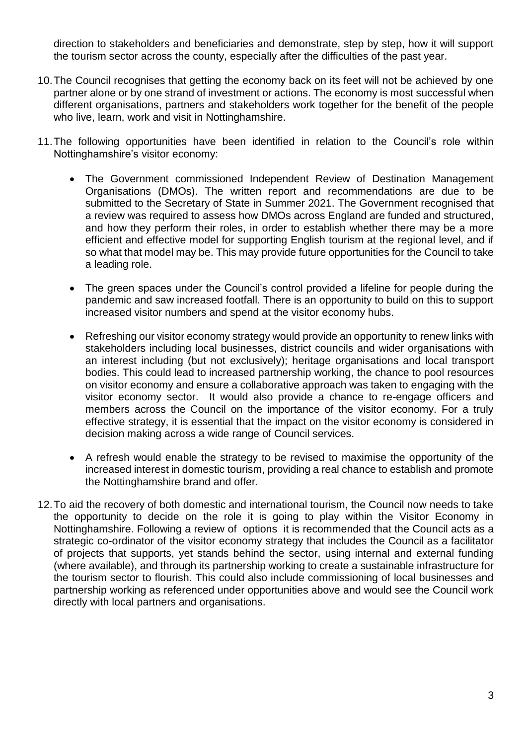direction to stakeholders and beneficiaries and demonstrate, step by step, how it will support the tourism sector across the county, especially after the difficulties of the past year.

- 10.The Council recognises that getting the economy back on its feet will not be achieved by one partner alone or by one strand of investment or actions. The economy is most successful when different organisations, partners and stakeholders work together for the benefit of the people who live, learn, work and visit in Nottinghamshire.
- 11.The following opportunities have been identified in relation to the Council's role within Nottinghamshire's visitor economy:
	- The Government commissioned Independent Review of Destination Management Organisations (DMOs). The written report and recommendations are due to be submitted to the Secretary of State in Summer 2021. The Government recognised that a review was required to assess how DMOs across England are funded and structured, and how they perform their roles, in order to establish whether there may be a more efficient and effective model for supporting English tourism at the regional level, and if so what that model may be. This may provide future opportunities for the Council to take a leading role.
	- The green spaces under the Council's control provided a lifeline for people during the pandemic and saw increased footfall. There is an opportunity to build on this to support increased visitor numbers and spend at the visitor economy hubs.
	- Refreshing our visitor economy strategy would provide an opportunity to renew links with stakeholders including local businesses, district councils and wider organisations with an interest including (but not exclusively); heritage organisations and local transport bodies. This could lead to increased partnership working, the chance to pool resources on visitor economy and ensure a collaborative approach was taken to engaging with the visitor economy sector. It would also provide a chance to re-engage officers and members across the Council on the importance of the visitor economy. For a truly effective strategy, it is essential that the impact on the visitor economy is considered in decision making across a wide range of Council services.
	- A refresh would enable the strategy to be revised to maximise the opportunity of the increased interest in domestic tourism, providing a real chance to establish and promote the Nottinghamshire brand and offer.
- 12.To aid the recovery of both domestic and international tourism, the Council now needs to take the opportunity to decide on the role it is going to play within the Visitor Economy in Nottinghamshire. Following a review of options it is recommended that the Council acts as a strategic co-ordinator of the visitor economy strategy that includes the Council as a facilitator of projects that supports, yet stands behind the sector, using internal and external funding (where available), and through its partnership working to create a sustainable infrastructure for the tourism sector to flourish. This could also include commissioning of local businesses and partnership working as referenced under opportunities above and would see the Council work directly with local partners and organisations.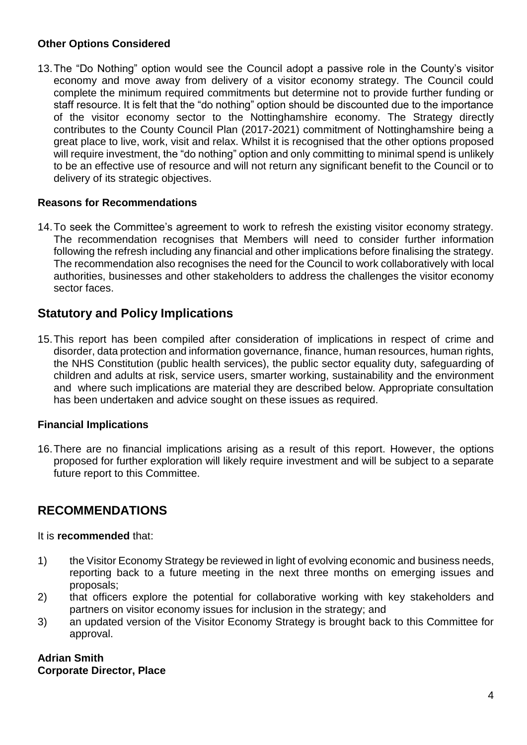### **Other Options Considered**

13.The "Do Nothing" option would see the Council adopt a passive role in the County's visitor economy and move away from delivery of a visitor economy strategy. The Council could complete the minimum required commitments but determine not to provide further funding or staff resource. It is felt that the "do nothing" option should be discounted due to the importance of the visitor economy sector to the Nottinghamshire economy. The Strategy directly contributes to the County Council Plan (2017-2021) commitment of Nottinghamshire being a great place to live, work, visit and relax. Whilst it is recognised that the other options proposed will require investment, the "do nothing" option and only committing to minimal spend is unlikely to be an effective use of resource and will not return any significant benefit to the Council or to delivery of its strategic objectives.

### **Reasons for Recommendations**

14.To seek the Committee's agreement to work to refresh the existing visitor economy strategy. The recommendation recognises that Members will need to consider further information following the refresh including any financial and other implications before finalising the strategy. The recommendation also recognises the need for the Council to work collaboratively with local authorities, businesses and other stakeholders to address the challenges the visitor economy sector faces.

### **Statutory and Policy Implications**

15.This report has been compiled after consideration of implications in respect of crime and disorder, data protection and information governance, finance, human resources, human rights, the NHS Constitution (public health services), the public sector equality duty, safeguarding of children and adults at risk, service users, smarter working, sustainability and the environment and where such implications are material they are described below. Appropriate consultation has been undertaken and advice sought on these issues as required.

### **Financial Implications**

16.There are no financial implications arising as a result of this report. However, the options proposed for further exploration will likely require investment and will be subject to a separate future report to this Committee.

# **RECOMMENDATIONS**

### It is **recommended** that:

- 1) the Visitor Economy Strategy be reviewed in light of evolving economic and business needs, reporting back to a future meeting in the next three months on emerging issues and proposals;
- 2) that officers explore the potential for collaborative working with key stakeholders and partners on visitor economy issues for inclusion in the strategy; and
- 3) an updated version of the Visitor Economy Strategy is brought back to this Committee for approval.

#### **Adrian Smith Corporate Director, Place**